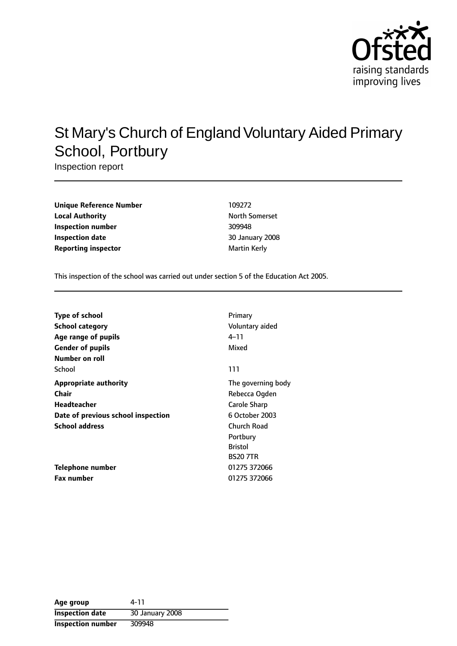

# St Mary's Church of England Voluntary Aided Primary School, Portbury

Inspection report

| <b>Unique Reference Number</b> | 109272             |
|--------------------------------|--------------------|
| <b>Local Authority</b>         | <b>North Somer</b> |
| Inspection number              | 309948             |
| <b>Inspection date</b>         | 30 January 2       |
| <b>Reporting inspector</b>     | Martin Kerly       |

**Unique Reference Number** 109272 **North Somerset Inspection number** 309948 **Inspection date** 30 January 2008

This inspection of the school was carried out under section 5 of the Education Act 2005.

| <b>Type of school</b>              | Primary            |
|------------------------------------|--------------------|
| School category                    | Voluntary aided    |
| Age range of pupils                | 4–11               |
| <b>Gender of pupils</b>            | Mixed              |
| Number on roll                     |                    |
| School                             | 111                |
| <b>Appropriate authority</b>       | The governing body |
| Chair                              | Rebecca Ogden      |
| Headteacher                        | Carole Sharp       |
| Date of previous school inspection | 6 October 2003     |
| <b>School address</b>              | Church Road        |
|                                    | Portbury           |
|                                    | <b>Bristol</b>     |
|                                    | <b>BS20 7TR</b>    |
| Telephone number                   | 01275 372066       |
| <b>Fax number</b>                  | 01275 372066       |

| Age group                | 4-11            |
|--------------------------|-----------------|
| <b>Inspection date</b>   | 30 January 2008 |
| <b>Inspection number</b> | 309948          |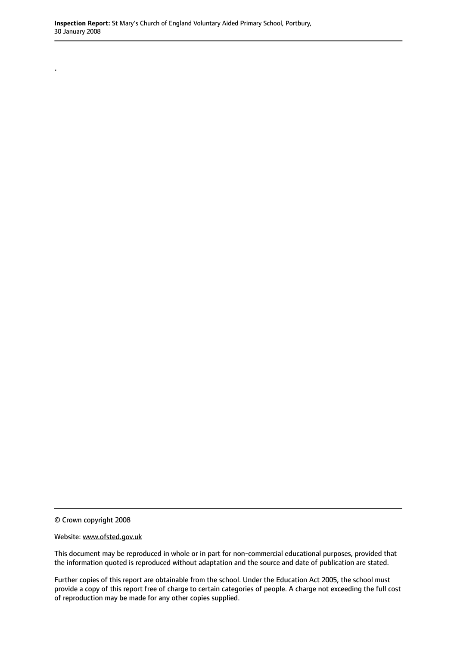© Crown copyright 2008

.

Website: www.ofsted.gov.uk

This document may be reproduced in whole or in part for non-commercial educational purposes, provided that the information quoted is reproduced without adaptation and the source and date of publication are stated.

Further copies of this report are obtainable from the school. Under the Education Act 2005, the school must provide a copy of this report free of charge to certain categories of people. A charge not exceeding the full cost of reproduction may be made for any other copies supplied.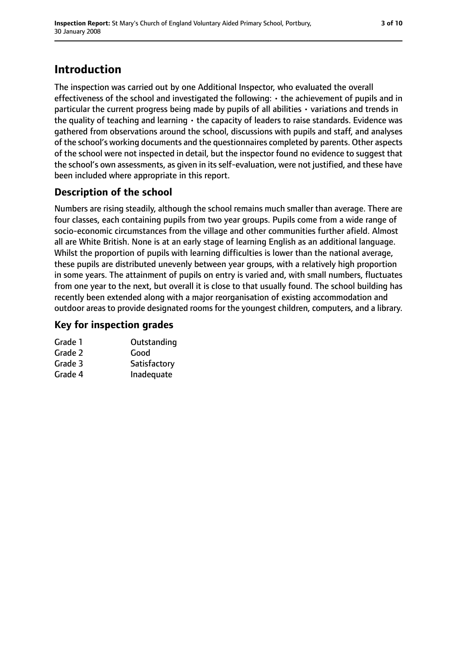# **Introduction**

The inspection was carried out by one Additional Inspector, who evaluated the overall effectiveness of the school and investigated the following: • the achievement of pupils and in particular the current progress being made by pupils of all abilities • variations and trends in the quality of teaching and learning  $\cdot$  the capacity of leaders to raise standards. Evidence was gathered from observations around the school, discussions with pupils and staff, and analyses of the school's working documents and the questionnaires completed by parents. Other aspects of the school were not inspected in detail, but the inspector found no evidence to suggest that the school's own assessments, as given in its self-evaluation, were not justified, and these have been included where appropriate in this report.

## **Description of the school**

Numbers are rising steadily, although the school remains much smaller than average. There are four classes, each containing pupils from two year groups. Pupils come from a wide range of socio-economic circumstances from the village and other communities further afield. Almost all are White British. None is at an early stage of learning English as an additional language. Whilst the proportion of pupils with learning difficulties is lower than the national average, these pupils are distributed unevenly between year groups, with a relatively high proportion in some years. The attainment of pupils on entry is varied and, with small numbers, fluctuates from one year to the next, but overall it is close to that usually found. The school building has recently been extended along with a major reorganisation of existing accommodation and outdoor areas to provide designated rooms for the youngest children, computers, and a library.

#### **Key for inspection grades**

| Outstanding  |
|--------------|
| Good         |
| Satisfactory |
| Inadequate   |
|              |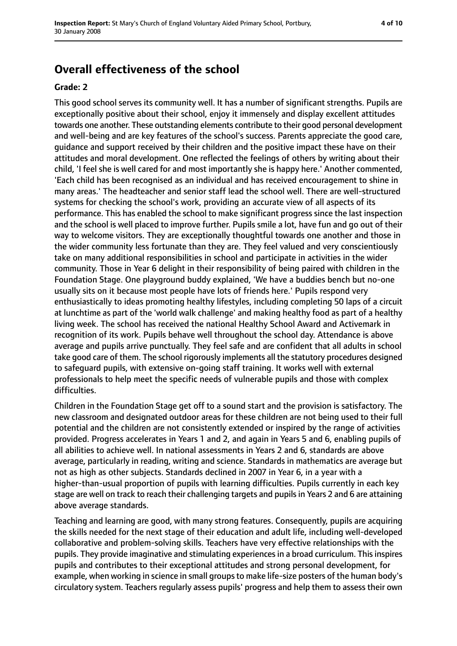# **Overall effectiveness of the school**

#### **Grade: 2**

This good school serves its community well. It has a number of significant strengths. Pupils are exceptionally positive about their school, enjoy it immensely and display excellent attitudes towards one another. These outstanding elements contribute to their good personal development and well-being and are key features of the school's success. Parents appreciate the good care, guidance and support received by their children and the positive impact these have on their attitudes and moral development. One reflected the feelings of others by writing about their child, 'I feel she is well cared for and most importantly she is happy here.' Another commented, 'Each child has been recognised as an individual and has received encouragement to shine in many areas.' The headteacher and senior staff lead the school well. There are well-structured systems for checking the school's work, providing an accurate view of all aspects of its performance. This has enabled the school to make significant progress since the last inspection and the school is well placed to improve further. Pupils smile a lot, have fun and go out of their way to welcome visitors. They are exceptionally thoughtful towards one another and those in the wider community less fortunate than they are. They feel valued and very conscientiously take on many additional responsibilities in school and participate in activities in the wider community. Those in Year 6 delight in their responsibility of being paired with children in the Foundation Stage. One playground buddy explained, 'We have a buddies bench but no-one usually sits on it because most people have lots of friends here.' Pupils respond very enthusiastically to ideas promoting healthy lifestyles, including completing 50 laps of a circuit at lunchtime as part of the 'world walk challenge' and making healthy food as part of a healthy living week. The school has received the national Healthy School Award and Activemark in recognition of its work. Pupils behave well throughout the school day. Attendance is above average and pupils arrive punctually. They feel safe and are confident that all adults in school take good care of them. The school rigorously implements all the statutory procedures designed to safeguard pupils, with extensive on-going staff training. It works well with external professionals to help meet the specific needs of vulnerable pupils and those with complex difficulties.

Children in the Foundation Stage get off to a sound start and the provision is satisfactory. The new classroom and designated outdoor areas for these children are not being used to their full potential and the children are not consistently extended or inspired by the range of activities provided. Progress accelerates in Years 1 and 2, and again in Years 5 and 6, enabling pupils of all abilities to achieve well. In national assessments in Years 2 and 6, standards are above average, particularly in reading, writing and science. Standards in mathematics are average but not as high as other subjects. Standards declined in 2007 in Year 6, in a year with a higher-than-usual proportion of pupils with learning difficulties. Pupils currently in each key stage are well on track to reach their challenging targets and pupils in Years 2 and 6 are attaining above average standards.

Teaching and learning are good, with many strong features. Consequently, pupils are acquiring the skills needed for the next stage of their education and adult life, including well-developed collaborative and problem-solving skills. Teachers have very effective relationships with the pupils. They provide imaginative and stimulating experiences in a broad curriculum. This inspires pupils and contributes to their exceptional attitudes and strong personal development, for example, when working in science in small groupsto make life-size posters of the human body's circulatory system. Teachers regularly assess pupils' progress and help them to assess their own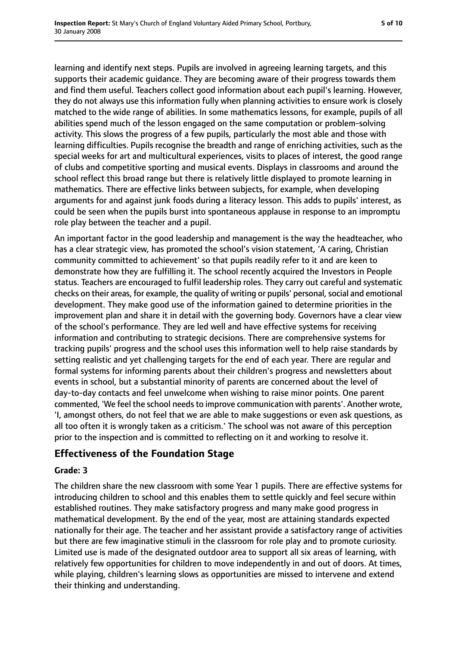learning and identify next steps. Pupils are involved in agreeing learning targets, and this supports their academic guidance. They are becoming aware of their progress towards them and find them useful. Teachers collect good information about each pupil's learning. However, they do not always use this information fully when planning activities to ensure work is closely matched to the wide range of abilities. In some mathematics lessons, for example, pupils of all abilities spend much of the lesson engaged on the same computation or problem-solving activity. This slows the progress of a few pupils, particularly the most able and those with learning difficulties. Pupils recognise the breadth and range of enriching activities, such as the special weeks for art and multicultural experiences, visits to places of interest, the good range of clubs and competitive sporting and musical events. Displays in classrooms and around the school reflect this broad range but there is relatively little displayed to promote learning in mathematics. There are effective links between subjects, for example, when developing arguments for and against junk foods during a literacy lesson. This adds to pupils' interest, as could be seen when the pupils burst into spontaneous applause in response to an impromptu role play between the teacher and a pupil.

An important factor in the good leadership and management is the way the headteacher, who has a clear strategic view, has promoted the school's vision statement, 'A caring, Christian community committed to achievement' so that pupils readily refer to it and are keen to demonstrate how they are fulfilling it. The school recently acquired the Investors in People status. Teachers are encouraged to fulfil leadership roles. They carry out careful and systematic checks on their areas, for example, the quality of writing or pupils' personal, social and emotional development. They make good use of the information gained to determine priorities in the improvement plan and share it in detail with the governing body. Governors have a clear view of the school's performance. They are led well and have effective systems for receiving information and contributing to strategic decisions. There are comprehensive systems for tracking pupils' progress and the school uses this information well to help raise standards by setting realistic and yet challenging targets for the end of each year. There are regular and formal systems for informing parents about their children's progress and newsletters about events in school, but a substantial minority of parents are concerned about the level of day-to-day contacts and feel unwelcome when wishing to raise minor points. One parent commented, 'We feel the school needs to improve communication with parents'. Another wrote, 'I, amongst others, do not feel that we are able to make suggestions or even ask questions, as all too often it is wrongly taken as a criticism.' The school was not aware of this perception prior to the inspection and is committed to reflecting on it and working to resolve it.

#### **Effectiveness of the Foundation Stage**

#### **Grade: 3**

The children share the new classroom with some Year 1 pupils. There are effective systems for introducing children to school and this enables them to settle quickly and feel secure within established routines. They make satisfactory progress and many make good progress in mathematical development. By the end of the year, most are attaining standards expected nationally for their age. The teacher and her assistant provide a satisfactory range of activities but there are few imaginative stimuli in the classroom for role play and to promote curiosity. Limited use is made of the designated outdoor area to support all six areas of learning, with relatively few opportunities for children to move independently in and out of doors. At times, while playing, children's learning slows as opportunities are missed to intervene and extend their thinking and understanding.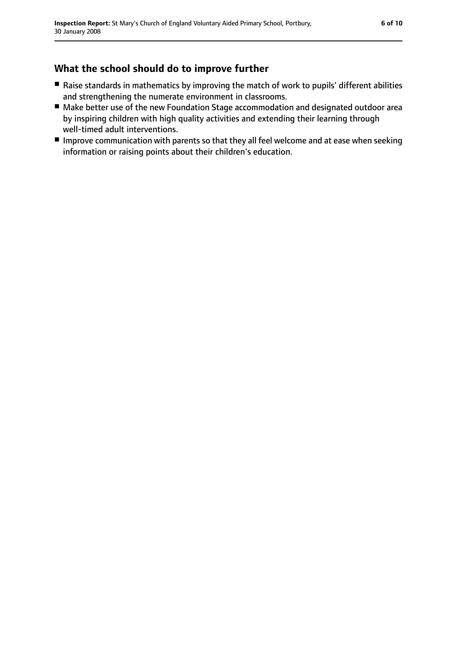## **What the school should do to improve further**

- Raise standards in mathematics by improving the match of work to pupils' different abilities and strengthening the numerate environment in classrooms.
- Make better use of the new Foundation Stage accommodation and designated outdoor area by inspiring children with high quality activities and extending their learning through well-timed adult interventions.
- Improve communication with parents so that they all feel welcome and at ease when seeking information or raising points about their children's education.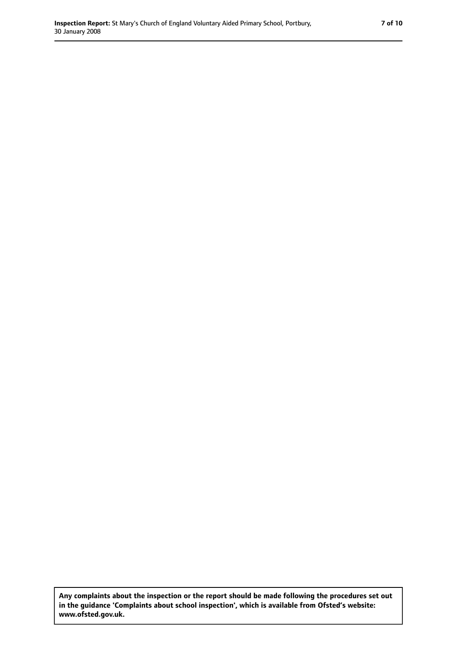**Any complaints about the inspection or the report should be made following the procedures set out in the guidance 'Complaints about school inspection', which is available from Ofsted's website: www.ofsted.gov.uk.**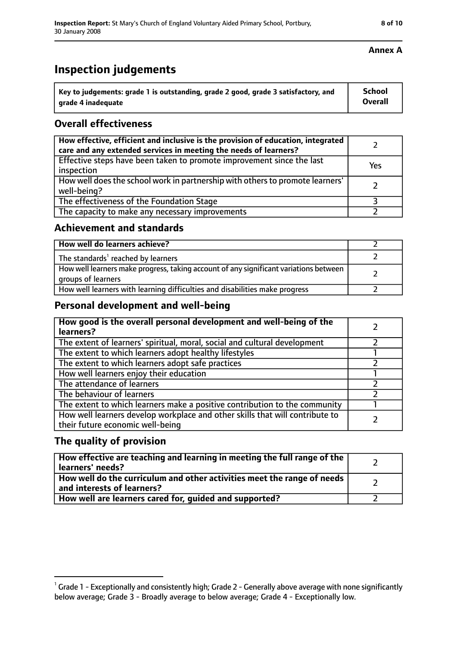# **Inspection judgements**

| $^{\cdot}$ Key to judgements: grade 1 is outstanding, grade 2 good, grade 3 satisfactory, and | School         |
|-----------------------------------------------------------------------------------------------|----------------|
| arade 4 inadequate                                                                            | <b>Overall</b> |

### **Overall effectiveness**

| How effective, efficient and inclusive is the provision of education, integrated<br>care and any extended services in meeting the needs of learners? |     |
|------------------------------------------------------------------------------------------------------------------------------------------------------|-----|
| Effective steps have been taken to promote improvement since the last<br>inspection                                                                  | Yes |
| How well does the school work in partnership with others to promote learners'<br>well-being?                                                         |     |
| The effectiveness of the Foundation Stage                                                                                                            |     |
| The capacity to make any necessary improvements                                                                                                      |     |

#### **Achievement and standards**

| How well do learners achieve?                                                                               |  |
|-------------------------------------------------------------------------------------------------------------|--|
| The standards <sup>1</sup> reached by learners                                                              |  |
| How well learners make progress, taking account of any significant variations between<br>groups of learners |  |
| How well learners with learning difficulties and disabilities make progress                                 |  |

### **Personal development and well-being**

| How good is the overall personal development and well-being of the<br>learners?                                  |  |
|------------------------------------------------------------------------------------------------------------------|--|
| The extent of learners' spiritual, moral, social and cultural development                                        |  |
| The extent to which learners adopt healthy lifestyles                                                            |  |
| The extent to which learners adopt safe practices                                                                |  |
| How well learners enjoy their education                                                                          |  |
| The attendance of learners                                                                                       |  |
| The behaviour of learners                                                                                        |  |
| The extent to which learners make a positive contribution to the community                                       |  |
| How well learners develop workplace and other skills that will contribute to<br>their future economic well-being |  |

### **The quality of provision**

| How effective are teaching and learning in meeting the full range of the<br>learners' needs?          |  |
|-------------------------------------------------------------------------------------------------------|--|
| How well do the curriculum and other activities meet the range of needs<br>and interests of learners? |  |
| How well are learners cared for, guided and supported?                                                |  |

#### **Annex A**

 $^1$  Grade 1 - Exceptionally and consistently high; Grade 2 - Generally above average with none significantly below average; Grade 3 - Broadly average to below average; Grade 4 - Exceptionally low.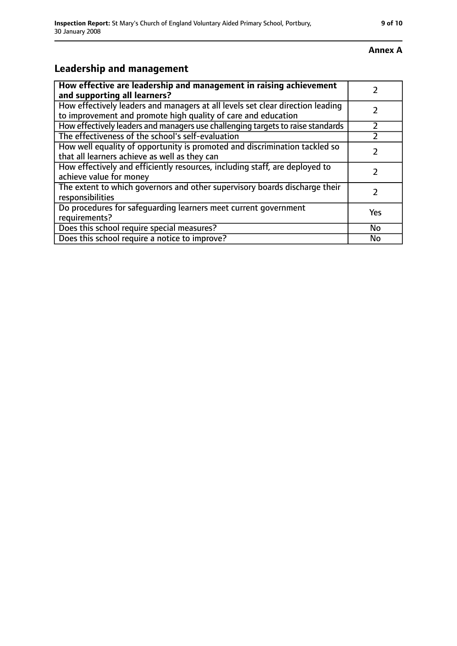# **Leadership and management**

| How effective are leadership and management in raising achievement<br>and supporting all learners?                                              |     |
|-------------------------------------------------------------------------------------------------------------------------------------------------|-----|
| How effectively leaders and managers at all levels set clear direction leading<br>to improvement and promote high quality of care and education |     |
| How effectively leaders and managers use challenging targets to raise standards                                                                 |     |
| The effectiveness of the school's self-evaluation                                                                                               |     |
| How well equality of opportunity is promoted and discrimination tackled so<br>that all learners achieve as well as they can                     |     |
| How effectively and efficiently resources, including staff, are deployed to<br>achieve value for money                                          |     |
| The extent to which governors and other supervisory boards discharge their<br>responsibilities                                                  | 7   |
| Do procedures for safeguarding learners meet current government<br>requirements?                                                                | Yes |
| Does this school require special measures?                                                                                                      | No  |
| Does this school require a notice to improve?                                                                                                   | No  |